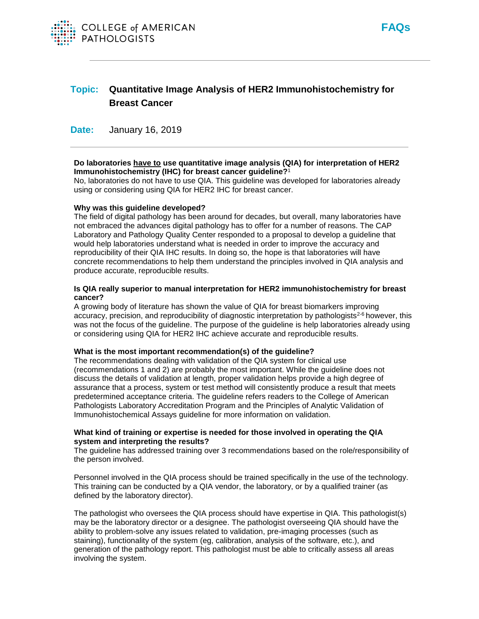



# **Topic: Quantitative Image Analysis of HER2 Immunohistochemistry for Breast Cancer**

**Date:** January 16, 2019

# **Do laboratories have to use quantitative image analysis (QIA) for interpretation of HER2 Immunohistochemistry (IHC) for breast cancer guideline?**<sup>1</sup>

No, laboratories do not have to use QIA. This guideline was developed for laboratories already using or considering using QIA for HER2 IHC for breast cancer.

## **Why was this guideline developed?**

The field of digital pathology has been around for decades, but overall, many laboratories have not embraced the advances digital pathology has to offer for a number of reasons. The CAP Laboratory and Pathology Quality Center responded to a proposal to develop a guideline that would help laboratories understand what is needed in order to improve the accuracy and reproducibility of their QIA IHC results. In doing so, the hope is that laboratories will have concrete recommendations to help them understand the principles involved in QIA analysis and produce accurate, reproducible results.

## **Is QIA really superior to manual interpretation for HER2 immunohistochemistry for breast cancer?**

A growing body of literature has shown the value of QIA for breast biomarkers improving accuracy, precision, and reproducibility of diagnostic interpretation by pathologists<sup>2-6</sup> however, this was not the focus of the guideline. The purpose of the guideline is help laboratories already using or considering using QIA for HER2 IHC achieve accurate and reproducible results.

#### **What is the most important recommendation(s) of the guideline?**

The recommendations dealing with validation of the QIA system for clinical use (recommendations 1 and 2) are probably the most important. While the guideline does not discuss the details of validation at length, proper validation helps provide a high degree of assurance that a process, system or test method will consistently produce a result that meets predetermined acceptance criteria. The guideline refers readers to the College of American Pathologists Laboratory Accreditation Program and the Principles of Analytic Validation of Immunohistochemical Assays guideline for more information on validation.

# **What kind of training or expertise is needed for those involved in operating the QIA system and interpreting the results?**

The guideline has addressed training over 3 recommendations based on the role/responsibility of the person involved.

Personnel involved in the QIA process should be trained specifically in the use of the technology. This training can be conducted by a QIA vendor, the laboratory, or by a qualified trainer (as defined by the laboratory director).

The pathologist who oversees the QIA process should have expertise in QIA. This pathologist(s) may be the laboratory director or a designee. The pathologist overseeing QIA should have the ability to problem-solve any issues related to validation, pre-imaging processes (such as staining), functionality of the system (eg, calibration, analysis of the software, etc.), and generation of the pathology report. This pathologist must be able to critically assess all areas involving the system.